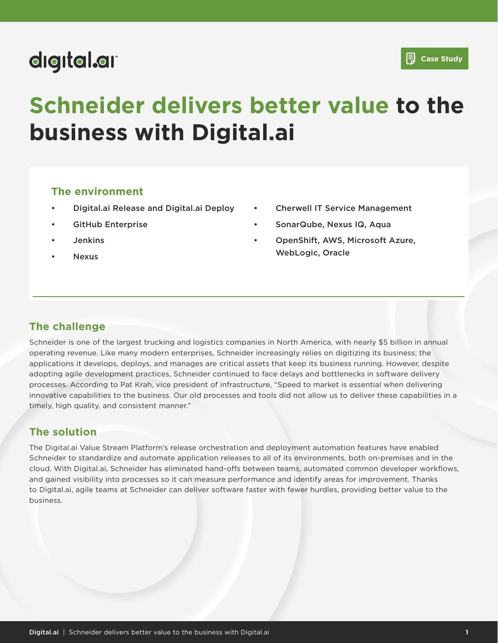## digital.ar

# **Schneider delivers better value to the business with Digital.ai**

#### **The environment**

- Digital.ai Release and Digital.ai Deploy
- GitHub Enterprise
- **Jenkins**
- Nexus
- Cherwell IT Service Management
- SonarQube, Nexus IQ, Aqua
- OpenShift, AWS, Microsoft Azure, WebLogic, Oracle

### **The challenge**

Schneider is one of the largest trucking and logistics companies in North America, with nearly \$5 billion in annual operating revenue. Like many modern enterprises, Schneider increasingly relies on digitizing its business; the applications it develops, deploys, and manages are critical assets that keep its business running. However, despite adopting agile development practices, Schneider continued to face delays and bottlenecks in software delivery processes. According to Pat Krah, vice president of infrastructure, "Speed to market is essential when delivering innovative capabilities to the business. Our old processes and tools did not allow us to deliver these capabilities in a timely, high quality, and consistent manner."

### **The solution**

The Digital.ai Value Stream Platform's release orchestration and deployment automation features have enabled Schneider to standardize and automate application releases to all of its environments, both on-premises and in the cloud. With Digital.ai, Schneider has eliminated hand-offs between teams, automated common developer workflows, and gained visibility into processes so it can measure performance and identify areas for improvement. Thanks to Digital.ai, agile teams at Schneider can deliver software faster with fewer hurdles, providing better value to the business.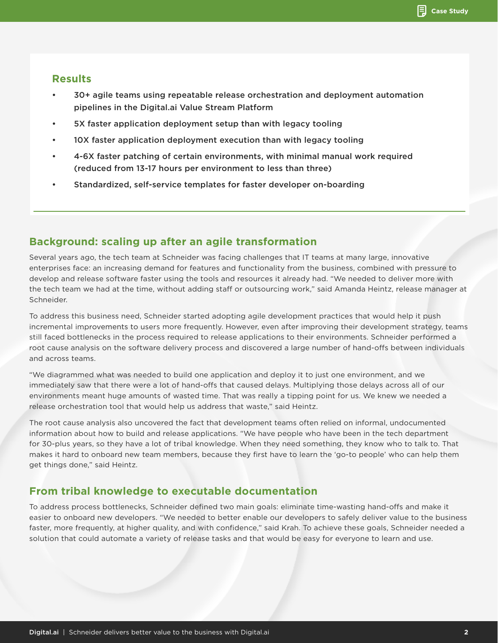#### **Results**

- 30+ agile teams using repeatable release orchestration and deployment automation pipelines in the Digital.ai Value Stream Platform
- 5X faster application deployment setup than with legacy tooling
- 10X faster application deployment execution than with legacy tooling
- 4-6X faster patching of certain environments, with minimal manual work required (reduced from 13-17 hours per environment to less than three)
- Standardized, self-service templates for faster developer on-boarding

#### **Background: scaling up after an agile transformation**

Several years ago, the tech team at Schneider was facing challenges that IT teams at many large, innovative enterprises face: an increasing demand for features and functionality from the business, combined with pressure to develop and release software faster using the tools and resources it already had. "We needed to deliver more with the tech team we had at the time, without adding staff or outsourcing work," said Amanda Heintz, release manager at Schneider.

To address this business need, Schneider started adopting agile development practices that would help it push incremental improvements to users more frequently. However, even after improving their development strategy, teams still faced bottlenecks in the process required to release applications to their environments. Schneider performed a root cause analysis on the software delivery process and discovered a large number of hand-offs between individuals and across teams.

"We diagrammed what was needed to build one application and deploy it to just one environment, and we immediately saw that there were a lot of hand-offs that caused delays. Multiplying those delays across all of our environments meant huge amounts of wasted time. That was really a tipping point for us. We knew we needed a release orchestration tool that would help us address that waste," said Heintz.

The root cause analysis also uncovered the fact that development teams often relied on informal, undocumented information about how to build and release applications. "We have people who have been in the tech department for 30-plus years, so they have a lot of tribal knowledge. When they need something, they know who to talk to. That makes it hard to onboard new team members, because they first have to learn the 'go-to people' who can help them get things done," said Heintz.

#### **From tribal knowledge to executable documentation**

To address process bottlenecks, Schneider defined two main goals: eliminate time-wasting hand-offs and make it easier to onboard new developers. "We needed to better enable our developers to safely deliver value to the business faster, more frequently, at higher quality, and with confidence," said Krah. To achieve these goals, Schneider needed a solution that could automate a variety of release tasks and that would be easy for everyone to learn and use.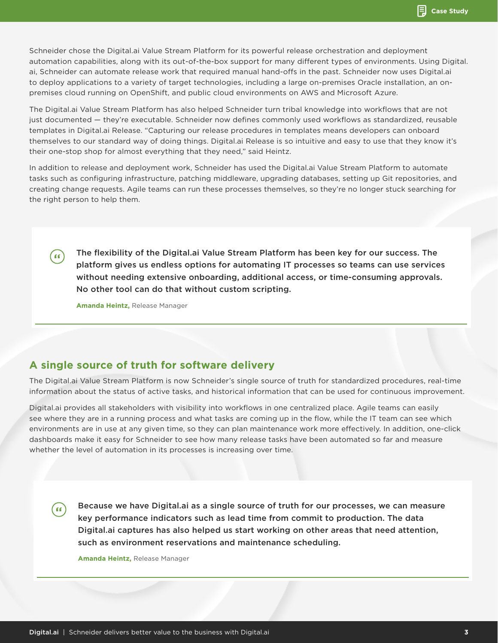Schneider chose the Digital.ai Value Stream Platform for its powerful release orchestration and deployment automation capabilities, along with its out-of-the-box support for many different types of environments. Using Digital. ai, Schneider can automate release work that required manual hand-offs in the past. Schneider now uses Digital.ai to deploy applications to a variety of target technologies, including a large on-premises Oracle installation, an onpremises cloud running on OpenShift, and public cloud environments on AWS and Microsoft Azure.

The Digital.ai Value Stream Platform has also helped Schneider turn tribal knowledge into workflows that are not just documented — they're executable. Schneider now defines commonly used workflows as standardized, reusable templates in Digital.ai Release. "Capturing our release procedures in templates means developers can onboard themselves to our standard way of doing things. Digital.ai Release is so intuitive and easy to use that they know it's their one-stop shop for almost everything that they need," said Heintz.

In addition to release and deployment work, Schneider has used the Digital.ai Value Stream Platform to automate tasks such as configuring infrastructure, patching middleware, upgrading databases, setting up Git repositories, and creating change requests. Agile teams can run these processes themselves, so they're no longer stuck searching for the right person to help them.

The flexibility of the Digital.ai Value Stream Platform has been key for our success. The platform gives us endless options for automating IT processes so teams can use services without needing extensive onboarding, additional access, or time-consuming approvals. No other tool can do that without custom scripting.

**Amanda Heintz,** Release Manager

( 66 )

 $66$ 

#### **A single source of truth for software delivery**

The Digital.ai Value Stream Platform is now Schneider's single source of truth for standardized procedures, real-time information about the status of active tasks, and historical information that can be used for continuous improvement.

Digital.ai provides all stakeholders with visibility into workflows in one centralized place. Agile teams can easily see where they are in a running process and what tasks are coming up in the flow, while the IT team can see which environments are in use at any given time, so they can plan maintenance work more effectively. In addition, one-click dashboards make it easy for Schneider to see how many release tasks have been automated so far and measure whether the level of automation in its processes is increasing over time.

Because we have Digital.ai as a single source of truth for our processes, we can measure key performance indicators such as lead time from commit to production. The data Digital.ai captures has also helped us start working on other areas that need attention, such as environment reservations and maintenance scheduling.

**Amanda Heintz,** Release Manager